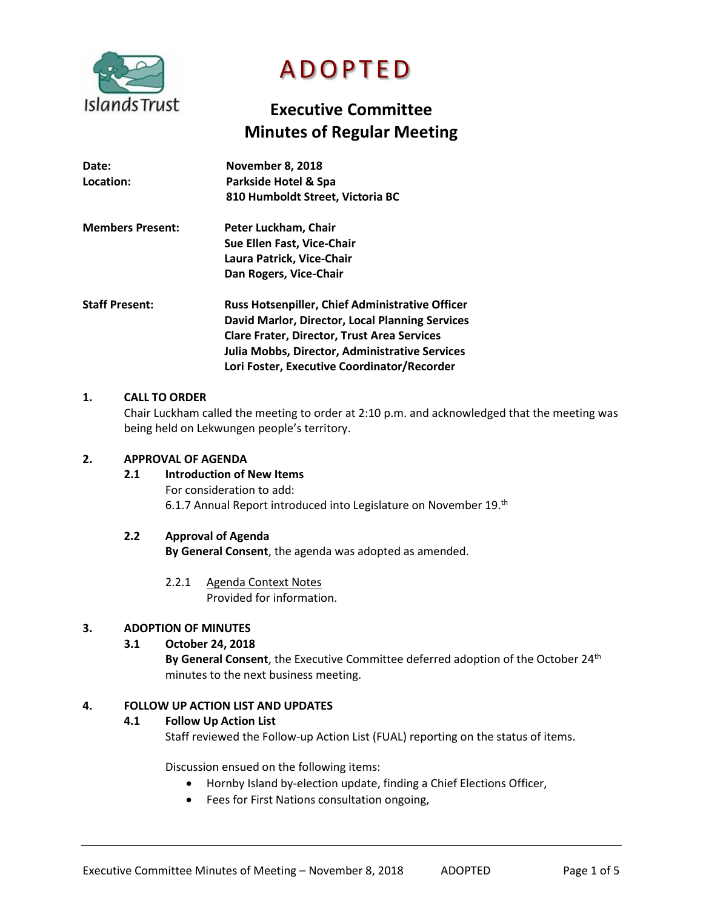

# **ADOPTED**

# **Executive Committee Minutes of Regular Meeting**

| Date:<br>Location:      | <b>November 8, 2018</b><br>Parkside Hotel & Spa<br>810 Humboldt Street, Victoria BC |
|-------------------------|-------------------------------------------------------------------------------------|
| <b>Members Present:</b> | Peter Luckham, Chair                                                                |
|                         | Sue Ellen Fast, Vice-Chair                                                          |
|                         | Laura Patrick, Vice-Chair                                                           |
|                         | Dan Rogers, Vice-Chair                                                              |
| <b>Staff Present:</b>   | <b>Russ Hotsenpiller, Chief Administrative Officer</b>                              |
|                         | David Marlor, Director, Local Planning Services                                     |
|                         | <b>Clare Frater, Director, Trust Area Services</b>                                  |
|                         | Julia Mobbs, Director, Administrative Services                                      |
|                         | Lori Foster, Executive Coordinator/Recorder                                         |

### **1. CALL TO ORDER**

Chair Luckham called the meeting to order at 2:10 p.m. and acknowledged that the meeting was being held on Lekwungen people's territory.

#### **2. APPROVAL OF AGENDA**

# **2.1 Introduction of New Items**

For consideration to add: 6.1.7 Annual Report introduced into Legislature on November 19.<sup>th</sup>

#### **2.2 Approval of Agenda**

**By General Consent**, the agenda was adopted as amended.

2.2.1 Agenda Context Notes Provided for information.

#### **3. ADOPTION OF MINUTES**

# **3.1 October 24, 2018**

By General Consent, the Executive Committee deferred adoption of the October 24<sup>th</sup> minutes to the next business meeting.

#### **4. FOLLOW UP ACTION LIST AND UPDATES**

#### **4.1 Follow Up Action List**

Staff reviewed the Follow-up Action List (FUAL) reporting on the status of items.

Discussion ensued on the following items:

- Hornby Island by-election update, finding a Chief Elections Officer,
- Fees for First Nations consultation ongoing,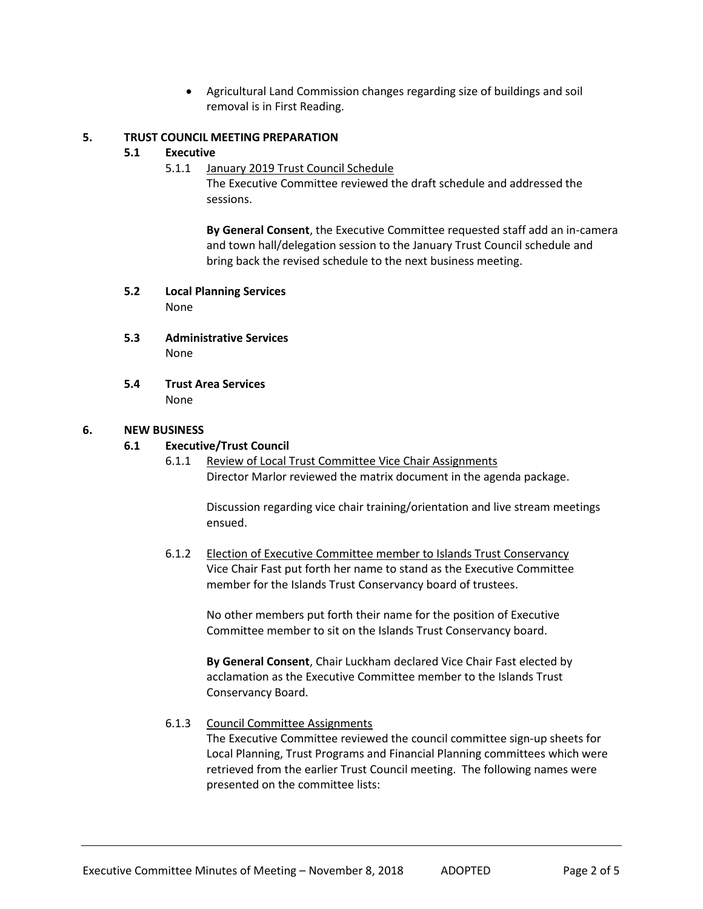Agricultural Land Commission changes regarding size of buildings and soil removal is in First Reading.

#### **5. TRUST COUNCIL MEETING PREPARATION**

#### **5.1 Executive**

5.1.1 January 2019 Trust Council Schedule

The Executive Committee reviewed the draft schedule and addressed the sessions.

**By General Consent**, the Executive Committee requested staff add an in-camera and town hall/delegation session to the January Trust Council schedule and bring back the revised schedule to the next business meeting.

#### **5.2 Local Planning Services** None

- **5.3 Administrative Services** None
- **5.4 Trust Area Services** None

#### **6. NEW BUSINESS**

#### **6.1 Executive/Trust Council**

6.1.1 Review of Local Trust Committee Vice Chair Assignments Director Marlor reviewed the matrix document in the agenda package.

Discussion regarding vice chair training/orientation and live stream meetings ensued.

6.1.2 Election of Executive Committee member to Islands Trust Conservancy Vice Chair Fast put forth her name to stand as the Executive Committee member for the Islands Trust Conservancy board of trustees.

> No other members put forth their name for the position of Executive Committee member to sit on the Islands Trust Conservancy board.

**By General Consent**, Chair Luckham declared Vice Chair Fast elected by acclamation as the Executive Committee member to the Islands Trust Conservancy Board.

6.1.3 Council Committee Assignments

The Executive Committee reviewed the council committee sign-up sheets for Local Planning, Trust Programs and Financial Planning committees which were retrieved from the earlier Trust Council meeting. The following names were presented on the committee lists: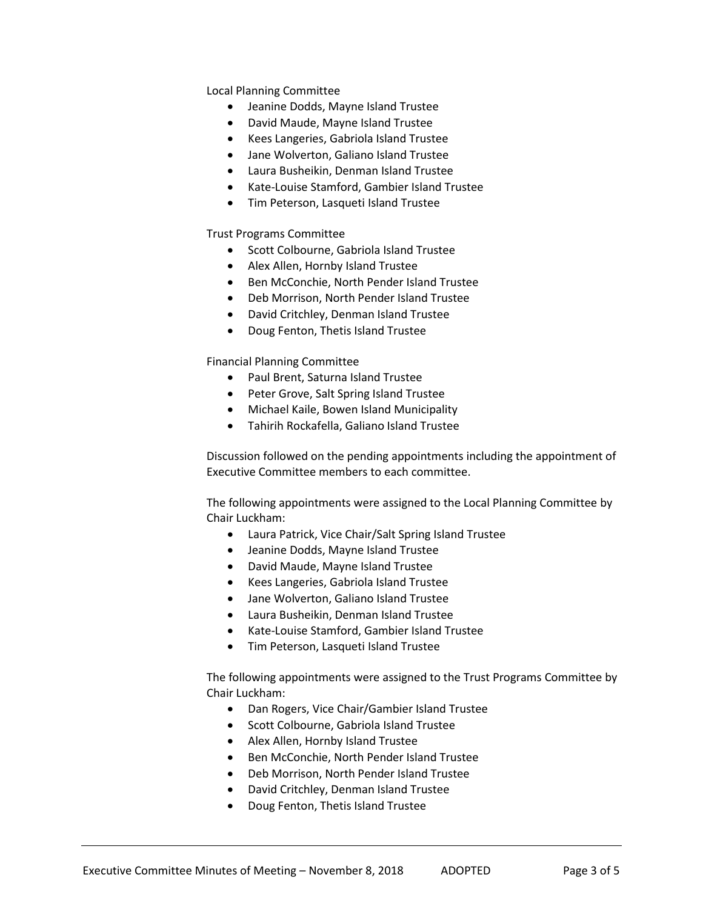Local Planning Committee

- Jeanine Dodds, Mayne Island Trustee
- David Maude, Mayne Island Trustee
- Kees Langeries, Gabriola Island Trustee
- Jane Wolverton, Galiano Island Trustee
- Laura Busheikin, Denman Island Trustee
- Kate-Louise Stamford, Gambier Island Trustee
- Tim Peterson, Lasqueti Island Trustee

Trust Programs Committee

- Scott Colbourne, Gabriola Island Trustee
- Alex Allen, Hornby Island Trustee
- Ben McConchie, North Pender Island Trustee
- Deb Morrison, North Pender Island Trustee
- David Critchley, Denman Island Trustee
- Doug Fenton, Thetis Island Trustee

Financial Planning Committee

- Paul Brent, Saturna Island Trustee
- Peter Grove, Salt Spring Island Trustee
- Michael Kaile, Bowen Island Municipality
- Tahirih Rockafella, Galiano Island Trustee

Discussion followed on the pending appointments including the appointment of Executive Committee members to each committee.

The following appointments were assigned to the Local Planning Committee by Chair Luckham:

- Laura Patrick, Vice Chair/Salt Spring Island Trustee
- Jeanine Dodds, Mayne Island Trustee
- David Maude, Mayne Island Trustee
- Kees Langeries, Gabriola Island Trustee
- Jane Wolverton, Galiano Island Trustee
- Laura Busheikin, Denman Island Trustee
- Kate-Louise Stamford, Gambier Island Trustee
- Tim Peterson, Lasqueti Island Trustee

The following appointments were assigned to the Trust Programs Committee by Chair Luckham:

- Dan Rogers, Vice Chair/Gambier Island Trustee
- **•** Scott Colbourne, Gabriola Island Trustee
- Alex Allen, Hornby Island Trustee
- Ben McConchie, North Pender Island Trustee
- Deb Morrison, North Pender Island Trustee
- David Critchley, Denman Island Trustee
- Doug Fenton, Thetis Island Trustee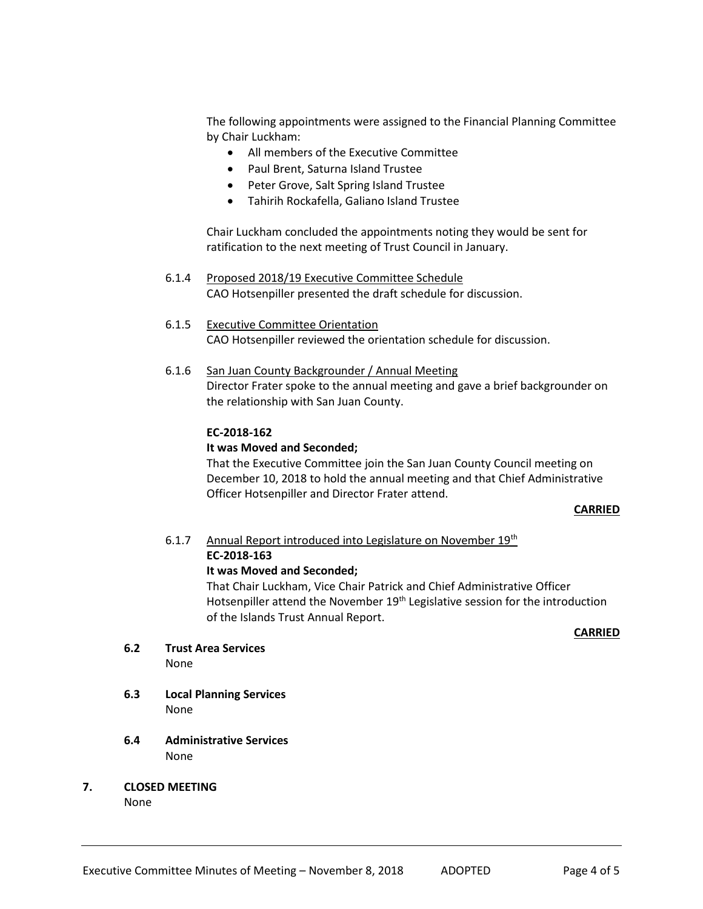The following appointments were assigned to the Financial Planning Committee by Chair Luckham:

- All members of the Executive Committee
- Paul Brent, Saturna Island Trustee
- Peter Grove, Salt Spring Island Trustee
- Tahirih Rockafella, Galiano Island Trustee

Chair Luckham concluded the appointments noting they would be sent for ratification to the next meeting of Trust Council in January.

- 6.1.4 Proposed 2018/19 Executive Committee Schedule CAO Hotsenpiller presented the draft schedule for discussion.
- 6.1.5 Executive Committee Orientation CAO Hotsenpiller reviewed the orientation schedule for discussion.
- 6.1.6 San Juan County Backgrounder / Annual Meeting Director Frater spoke to the annual meeting and gave a brief backgrounder on the relationship with San Juan County.

#### **EC-2018-162**

#### **It was Moved and Seconded;**

That the Executive Committee join the San Juan County Council meeting on December 10, 2018 to hold the annual meeting and that Chief Administrative Officer Hotsenpiller and Director Frater attend.

#### **CARRIED**

# 6.1.7 Annual Report introduced into Legislature on November 19th **EC-2018-163**

#### **It was Moved and Seconded;**

That Chair Luckham, Vice Chair Patrick and Chief Administrative Officer Hotsenpiller attend the November 19<sup>th</sup> Legislative session for the introduction of the Islands Trust Annual Report.

#### **CARRIED**

**6.2 Trust Area Services**

None

- **6.3 Local Planning Services** None
- **6.4 Administrative Services** None
- **7. CLOSED MEETING**

None